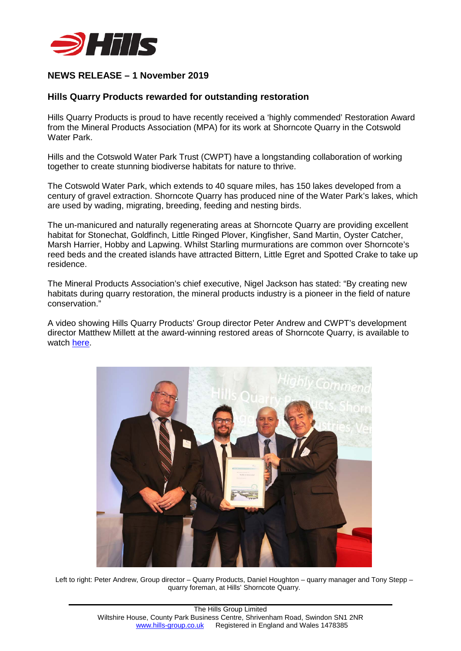

## **NEWS RELEASE – 1 November 2019**

## **Hills Quarry Products rewarded for outstanding restoration**

Hills Quarry Products is proud to have recently received a 'highly commended' Restoration Award from the Mineral Products Association (MPA) for its work at Shorncote Quarry in the Cotswold Water Park.

Hills and the Cotswold Water Park Trust (CWPT) have a longstanding collaboration of working together to create stunning biodiverse habitats for nature to thrive.

The Cotswold Water Park, which extends to 40 square miles, has 150 lakes developed from a century of gravel extraction. Shorncote Quarry has produced nine of the Water Park's lakes, which are used by wading, migrating, breeding, feeding and nesting birds.

The un-manicured and naturally regenerating areas at Shorncote Quarry are providing excellent habitat for Stonechat, Goldfinch, Little Ringed Plover, Kingfisher, Sand Martin, Oyster Catcher, Marsh Harrier, Hobby and Lapwing. Whilst Starling murmurations are common over Shorncote's reed beds and the created islands have attracted Bittern, Little Egret and Spotted Crake to take up residence.

The Mineral Products Association's chief executive, Nigel Jackson has stated: "By creating new habitats during quarry restoration, the mineral products industry is a pioneer in the field of nature conservation."

A video showing Hills Quarry Products' Group director Peter Andrew and CWPT's development director Matthew Millett at the award-winning restored areas of Shorncote Quarry, is available to watch [here.](https://www.youtube.com/watch?v=V5uOUJ5kxck)



Left to right: Peter Andrew, Group director – Quarry Products, Daniel Houghton – quarry manager and Tony Stepp – quarry foreman, at Hills' Shorncote Quarry.